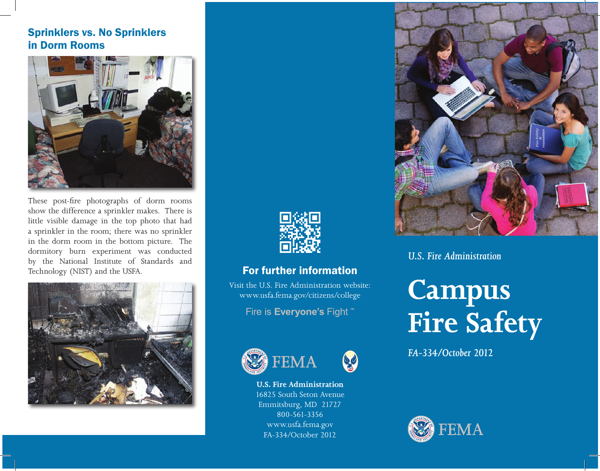## Sprinklers vs. No Sprinklers in Dorm Rooms



These post-fire photographs of dorm rooms show the difference a sprinkler makes. There is little visible damage in the top photo that had a sprinkler in the room; there was no sprinkler in the dorm room in the bottom picture. The dormitory burn experiment was conducted by the National Institute of Standards and Technology (NIST) and the USFA.





## For further information

Visit the U.S. Fire Administration website: www.usfa.fema.gov/citizens/college

Fire is Everyone's Fight \*\*





83

**U.S. Fire Administration** 16825 South Seton Avenue Emmitsburg, MD 21727 800-561-3356 www.usfa.fema.gov FA-334/October 2012



*U.S. Fire Administration*

# **Campus Fire Safety**

*FA-334/October 2012*